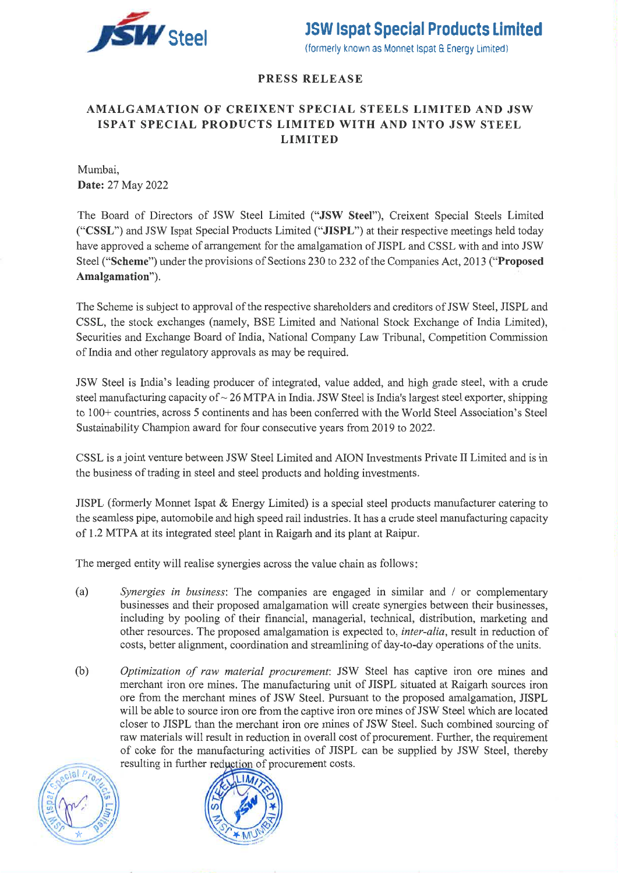

### **PRESS RELEASE**

### AMALGAMATION OF CREIXENT SPECIAL STEELS LIMITED AND JSW **ISPAT SPECIAL PRODUCTS LIMITED WITH AND INTO JSW STEEL LIMITED**

Mumbai. Date: 27 May 2022

The Board of Directors of JSW Steel Limited ("JSW Steel"), Creixent Special Steels Limited ("CSSL") and JSW Ispat Special Products Limited ("JISPL") at their respective meetings held today have approved a scheme of arrangement for the amalgamation of JISPL and CSSL with and into JSW Steel ("Scheme") under the provisions of Sections 230 to 232 of the Companies Act, 2013 ("Proposed" Amalgamation").

The Scheme is subject to approval of the respective shareholders and creditors of JSW Steel, JISPL and CSSL, the stock exchanges (namely, BSE Limited and National Stock Exchange of India Limited), Securities and Exchange Board of India, National Company Law Tribunal, Competition Commission of India and other regulatory approvals as may be required.

JSW Steel is India's leading producer of integrated, value added, and high grade steel, with a crude steel manufacturing capacity of  $\sim$  26 MTPA in India. JSW Steel is India's largest steel exporter, shipping to 100+ countries, across 5 continents and has been conferred with the World Steel Association's Steel Sustainability Champion award for four consecutive years from 2019 to 2022.

CSSL is a joint venture between JSW Steel Limited and AION Investments Private II Limited and is in the business of trading in steel and steel products and holding investments.

JISPL (formerly Monnet Ispat  $\&$  Energy Limited) is a special steel products manufacturer catering to the seamless pipe, automobile and high speed rail industries. It has a crude steel manufacturing capacity of 1.2 MTPA at its integrated steel plant in Raigarh and its plant at Raipur.

The merged entity will realise synergies across the value chain as follows:

- Synergies in business: The companies are engaged in similar and / or complementary  $(a)$ businesses and their proposed amalgamation will create synergies between their businesses, including by pooling of their financial, managerial, technical, distribution, marketing and other resources. The proposed amalgamation is expected to, *inter-alia*, result in reduction of costs, better alignment, coordination and streamlining of day-to-day operations of the units.
- Optimization of raw material procurement: JSW Steel has captive iron ore mines and (b) merchant iron ore mines. The manufacturing unit of JISPL situated at Raigarh sources iron ore from the merchant mines of JSW Steel. Pursuant to the proposed amalgamation, JISPL will be able to source iron ore from the captive iron ore mines of JSW Steel which are located closer to JISPL than the merchant iron ore mines of JSW Steel. Such combined sourcing of raw materials will result in reduction in overall cost of procurement. Further, the requirement of coke for the manufacturing activities of JISPL can be supplied by JSW Steel, thereby resulting in further reduction of procurement costs.



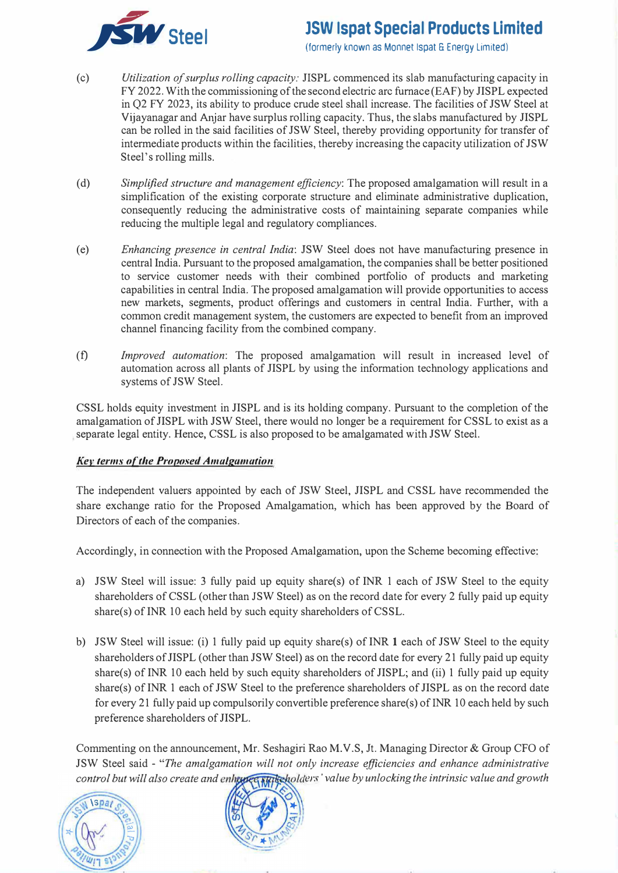

# **steel JSW lspat Special Products Limited**

(formerly known as Monnet Ispat & Energy Limited)

- ( c) *Utilization of surplus rolling capacity:* JISPL commenced its slab manufacturing capacity in FY 2022. With the commissioning of the second electric arc furnace (EAF) by JISPL expected in Q2 FY 2023, its ability to produce crude steel shall increase. The facilities of JSW Steel at Vijayanagar and Anjar have surplus rolling capacity. Thus, the slabs manufactured by JISPL can be rolled in the said facilities of JSW Steel, thereby providing opportunity for transfer of intermediate products within the facilities, thereby increasing the capacity utilization of JSW Steel's rolling mills.
- ( d) *Simplified structure and management efficiency:* The proposed amalgamation will result in a simplification of the existing corporate structure and eliminate administrative duplication, consequently reducing the administrative costs of maintaining separate companies while reducing the multiple legal and regulatory compliances.
- (e) *Enhancing presence in central India:* JSW Steel does not have manufacturing presence in central India. Pursuant to the proposed amalgamation, the companies shall be better positioned to service customer needs with their combined portfolio of products and marketing capabilities in central India. The proposed amalgamation will provide opportunities to access new markets, segments, product offerings and customers in central India. Further, with a common credit management system, the customers are expected to benefit from an improved channel financing facility from the combined company.
- (t) *Improved automation:* The proposed amalgamation will result in increased level of automation across all plants of JISPL by using the information technology applications and systems of JSW Steel.

CSSL holds equity investment in JISPL and is its holding company. Pursuant to the completion of the amalgamation of JISPL with JSW Steel, there would no longer be a requirement for CSSL to exist as a separate legal entity. Hence, CSSL is also proposed to be amalgamated with JSW Steel.

#### *Kev terms of the Proposed Amalgamation*

The independent valuers appointed by each of JSW Steel, JISPL and CSSL have recommended the share exchange ratio for the Proposed Amalgamation, which has been approved by the Board of Directors of each of the companies.

Accordingly, in connection with the Proposed Amalgamation, upon the Scheme becoming effective:

- a) JSW Steel will issue: 3 fully paid up equity share(s) of INR 1 each of JSW Steel to the equity shareholders of CSSL ( other than JSW Steel) as on the record date for every 2 fully paid up equity share(s) of INR 10 each held by such equity shareholders of CSSL.
- b) JSW Steel will issue: (i) 1 fully paid up equity share(s) of INR 1 each of JSW Steel to the equity shareholders of JISPL ( other than JSW Steel) as on the record date for every 21 fully paid up equity share(s) of INR 10 each held by such equity shareholders of JISPL; and (ii) 1 fully paid up equity share(s) of INR 1 each of JSW Steel to the preference shareholders of JISPL as on the record date for every 21 fully paid up compulsorily convertible preference share(s) of INR 10 each held by such preference shareholders of JISPL.

Commenting on the announcement, Mr. Seshagiri Rao M.V.S, Jt. Managing Director & Group CFO of JSW Steel said - *"The amalgamation will not only increase efficiencies and enhance administrative*  control but will also create and enhance surfacebolders' value by unlocking the intrinsic value and growth